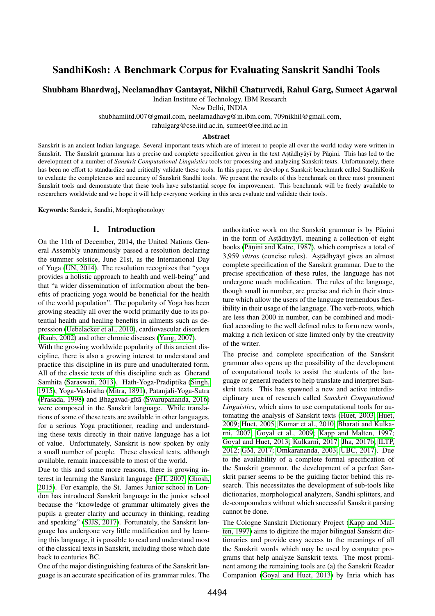# SandhiKosh: A Benchmark Corpus for Evaluating Sanskrit Sandhi Tools

Shubham Bhardwaj, Neelamadhav Gantayat, Nikhil Chaturvedi, Rahul Garg, Sumeet Agarwal

Indian Institute of Technology, IBM Research

New Delhi, INDIA

shubhamiitd.007@gmail.com, neelamadhavg@in.ibm.com, 709nikhil@gmail.com,

rahulgarg@cse.iitd.ac.in, sumeet@ee.iitd.ac.in

#### Abstract

Sanskrit is an ancient Indian language. Several important texts which are of interest to people all over the world today were written in Sanskrit. The Sanskrit grammar has a precise and complete specification given in the text Astādhyāyī by Pāṇini. This has led to the development of a number of *Sanskrit Computational Linguistics* tools for processing and analyzing Sanskrit texts. Unfortunately, there has been no effort to standardize and critically validate these tools. In this paper, we develop a Sanskrit benchmark called SandhiKosh to evaluate the completeness and accuracy of Sanskrit Sandhi tools. We present the results of this benchmark on three most prominent Sanskrit tools and demonstrate that these tools have substantial scope for improvement. This benchmark will be freely available to researchers worldwide and we hope it will help everyone working in this area evaluate and validate their tools.

Keywords: Sanskrit, Sandhi, Morphophonology

#### 1. Introduction

On the 11th of December, 2014, the United Nations General Assembly unanimously passed a resolution declaring the summer solstice, June 21st, as the International Day of Yoga [\(UN, 2014\)](#page-6-0). The resolution recognizes that "yoga provides a holistic approach to health and well-being" and that "a wider dissemination of information about the benefits of practicing yoga would be beneficial for the health of the world population". The popularity of Yoga has been growing steadily all over the world primarily due to its potential health and healing benefits in ailments such as depression [\(Uebelacker et al., 2010\)](#page-6-1), cardiovascular disorders [\(Raub, 2002\)](#page-6-2) and other chronic diseases [\(Yang, 2007\)](#page-6-3).

With the growing worldwide popularity of this ancient discipline, there is also a growing interest to understand and practice this discipline in its pure and unadulterated form. All of the classic texts of this discipline such as Gherand Samhita [\(Saraswati, 2013\)](#page-6-4), Hath-Yoga-Pradiptika [\(Singh,](#page-6-5) [1915\)](#page-6-5), Yoga-Vashistha [\(Mitra, 1891\)](#page-6-6), Patanjali-Yoga-Sutra [\(Prasada, 1998\)](#page-6-7) and Bhagavad-gītā [\(Swarupananda, 2016\)](#page-6-8) were composed in the Sanskrit language. While translations of some of these texts are available in other languages, for a serious Yoga practitioner, reading and understanding these texts directly in their native language has a lot of value. Unfortunately, Sanskrit is now spoken by only a small number of people. These classical texts, although available, remain inaccessible to most of the world.

Due to this and some more reasons, there is growing interest in learning the Sanskrit language [\(HT, 2007;](#page-6-9) [Ghosh,](#page-6-10) [2015\)](#page-6-10). For example, the St. James Junior school in London has introduced Sanskrit language in the junior school because the "knowledge of grammar ultimately gives the pupils a greater clarity and accuracy in thinking, reading and speaking" [\(SJJS, 2017\)](#page-6-11). Fortunately, the Sanskrit language has undergone very little modification and by learning this language, it is possible to read and understand most of the classical texts in Sanskrit, including those which date back to centuries BC.

One of the major distinguishing features of the Sanskrit language is an accurate specification of its grammar rules. The

authoritative work on the Sanskrit grammar is by Pāṇini in the form of Astadhyayi, meaning a collection of eight books (Pāṇ[ini and Katre, 1987\)](#page-6-12), which comprises a total of 3,959 *sūtras* (concise rules). Astādhyāyī gives an almost complete specification of the Sanskrit grammar. Due to the precise specification of these rules, the language has not undergone much modification. The rules of the language, though small in number, are precise and rich in their structure which allow the users of the language tremendous flexibility in their usage of the language. The verb-roots, which are less than 2000 in number, can be combined and modified according to the well defined rules to form new words, making a rich lexicon of size limited only by the creativity of the writer.

The precise and complete specification of the Sanskrit grammar also opens up the possibility of the development of computational tools to assist the students of the language or general readers to help translate and interpret Sanskrit texts. This has spawned a new and active interdisciplinary area of research called *Sanskrit Computational Linguistics*, which aims to use computational tools for automating the analysis of Sanskrit texts [\(Huet, 2003;](#page-6-13) [Huet,](#page-6-14) [2009;](#page-6-14) [Huet, 2005;](#page-6-15) [Kumar et al., 2010;](#page-6-16) [Bharati and Kulka](#page-6-17)[rni, 2007;](#page-6-17) [Goyal et al., 2009;](#page-6-18) [Kapp and Malten, 1997;](#page-6-19) [Goyal and Huet, 2013;](#page-6-20) [Kulkarni, 2017;](#page-6-21) [Jha, 2017b;](#page-6-22) [ILTP,](#page-6-23) [2012;](#page-6-23) [GM, 2017;](#page-6-24) [Omkarananda, 2003;](#page-6-25) [UBC, 2017\)](#page-6-26). Due to the availability of a complete formal specification of the Sanskrit grammar, the development of a perfect Sanskrit parser seems to be the guiding factor behind this research. This necessitates the development of sub-tools like dictionaries, morphological analyzers, Sandhi splitters, and de-compounders without which successful Sanskrit parsing cannot be done.

The Cologne Sanskrit Dictionary Project [\(Kapp and Mal](#page-6-19)[ten, 1997\)](#page-6-19) aims to digitize the major bilingual Sanskrit dictionaries and provide easy access to the meanings of all the Sanskrit words which may be used by computer programs that help analyze Sanskrit texts. The most prominent among the remaining tools are (a) the Sanskrit Reader Companion [\(Goyal and Huet, 2013\)](#page-6-20) by Inria which has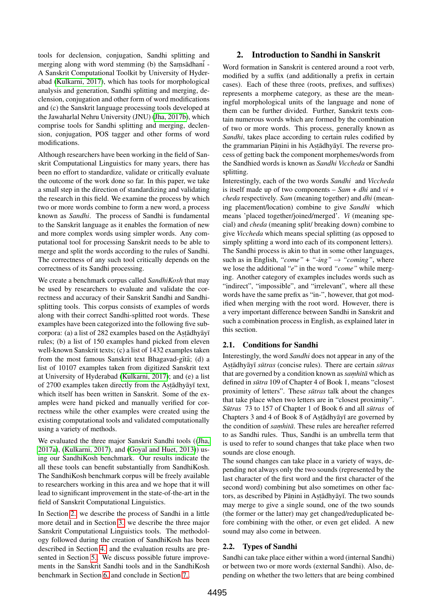tools for declension, conjugation, Sandhi splitting and merging along with word stemming (b) the Samsadhani -A Sanskrit Computational Toolkit by University of Hyderabad [\(Kulkarni, 2017\)](#page-6-21), which has tools for morphological analysis and generation, Sandhi splitting and merging, declension, conjugation and other form of word modifications and (c) the Sanskrit language processing tools developed at the Jawaharlal Nehru University (JNU) [\(Jha, 2017b\)](#page-6-22), which comprise tools for Sandhi splitting and merging, declension, conjugation, POS tagger and other forms of word modifications.

Although researchers have been working in the field of Sanskrit Computational Linguistics for many years, there has been no effort to standardize, validate or critically evaluate the outcome of the work done so far. In this paper, we take a small step in the direction of standardizing and validating the research in this field. We examine the process by which two or more words combine to form a new word, a process known as *Sandhi*. The process of Sandhi is fundamental to the Sanskrit language as it enables the formation of new and more complex words using simpler words. Any computational tool for processing Sanskrit needs to be able to merge and split the words according to the rules of Sandhi. The correctness of any such tool critically depends on the correctness of its Sandhi processing.

We create a benchmark corpus called *SandhiKosh* that may be used by researchers to evaluate and validate the correctness and accuracy of their Sanskrit Sandhi and Sandhisplitting tools. This corpus consists of examples of words along with their correct Sandhi-splitted root words. These examples have been categorized into the following five subcorpora: (a) a list of 282 examples based on the Aṣṭādhyāyī rules; (b) a list of 150 examples hand picked from eleven well-known Sanskrit texts; (c) a list of 1432 examples taken from the most famous Sanskrit text Bhagavad-gītā; (d) a list of 10107 examples taken from digitized Sanskrit text at University of Hyderabad [\(Kulkarni, 2017\)](#page-6-21); and (e) a list of 2700 examples taken directly from the Astadhyayī text, which itself has been written in Sanskrit. Some of the examples were hand picked and manually verified for correctness while the other examples were created using the existing computational tools and validated computationally using a variety of methods.

We evaluated the three major Sanskrit Sandhi tools ([\(Jha,](#page-6-27) [2017a\)](#page-6-27), [\(Kulkarni, 2017\)](#page-6-21), and [\(Goyal and Huet, 2013\)](#page-6-20)) using our SandhiKosh benchmark. Our results indicate the all these tools can benefit substantially from SandhiKosh. The SandhiKosh benchmark corpus will be freely available to researchers working in this area and we hope that it will lead to significant improvement in the state-of-the-art in the field of Sanskrit Computational Linguistics.

In Section [2.](#page-1-0) we describe the process of Sandhi in a little more detail and in Section [3.](#page-2-0) we describe the three major Sanskrit Computational Linguistics tools. The methodology followed during the creation of SandhiKosh has been described in Section [4.](#page-3-0) and the evaluation results are presented in Section [5..](#page-3-1) We discuss possible future improvements in the Sanskrit Sandhi tools and in the SandhiKosh benchmark in Section [6.](#page-4-0) and conclude in Section [7..](#page-5-0)

## <span id="page-1-0"></span>2. Introduction to Sandhi in Sanskrit

Word formation in Sanskrit is centered around a root verb, modified by a suffix (and additionally a prefix in certain cases). Each of these three (roots, prefixes, and suffixes) represents a morpheme category, as these are the meaningful morphological units of the language and none of them can be further divided. Further, Sanskrit texts contain numerous words which are formed by the combination of two or more words. This process, generally known as *Sandhi*, takes place according to certain rules codified by the grammarian Pāṇini in his Aṣṭādhyāyī. The reverse process of getting back the component morphemes/words from the Sandhied words is known as *Sandhi Viccheda* or Sandhi splitting.

Interestingly, each of the two words *Sandhi* and *Viccheda* is itself made up of two components – *Sam* + *dhi* and *vi* + *cheda* respectively. *Sam* (meaning together) and *dhi* (meaning placement/location) combine to give *Sandhi* which means 'placed together/joined/merged'. *Vi* (meaning special) and *cheda* (meaning split/ breaking down) combine to give *Viccheda* which means special splitting (as opposed to simply splitting a word into each of its component letters). The Sandhi process is akin to that in some other languages, such as in English, "come" + "-ing"  $\rightarrow$  "coming", where we lose the additional "*e*" in the word *"come"* while merging. Another category of examples includes words such as "indirect", "impossible", and "irrelevant", where all these words have the same prefix as "in-", however, that got modified when merging with the root word. However, there is a very important difference between Sandhi in Sanskrit and such a combination process in English, as explained later in this section.

### 2.1. Conditions for Sandhi

Interestingly, the word *Sandhi* does not appear in any of the Astādhyāyī sūtras (concise rules). There are certain sūtras that are governed by a condition known as *samhita* which as defined in *sūtra* 109 of Chapter 4 of Book 1, means "closest proximity of letters". These *sūtras* talk about the changes that take place when two letters are in "closest proximity". *Sūtras* 73 to 157 of Chapter 1 of Book 6 and all *sūtras* of Chapters 3 and 4 of Book 8 of Astadhyayi are governed by the condition of *samhitā*. These rules are hereafter referred to as Sandhi rules. Thus, Sandhi is an umbrella term that is used to refer to sound changes that take place when two sounds are close enough.

The sound changes can take place in a variety of ways, depending not always only the two sounds (represented by the last character of the first word and the first character of the second word) combining but also sometimes on other factors, as described by Pāṇini in Aṣṭādhyāyī. The two sounds may merge to give a single sound, one of the two sounds (the former or the latter) may get changed/reduplicated before combining with the other, or even get elided. A new sound may also come in between.

### 2.2. Types of Sandhi

Sandhi can take place either within a word (internal Sandhi) or between two or more words (external Sandhi). Also, depending on whether the two letters that are being combined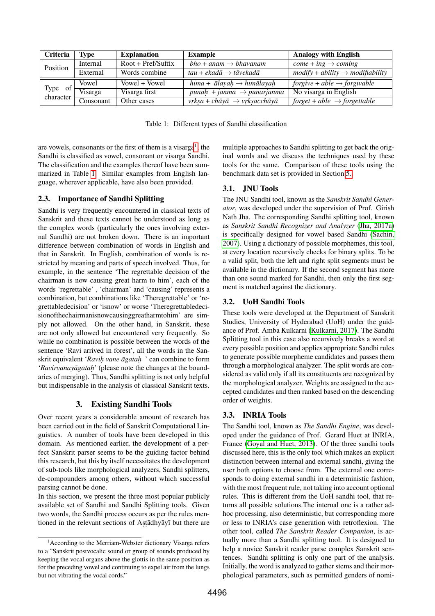| Criteria                                                                          | Type      | <b>Explanation</b>   | <b>Example</b>                                                  | <b>Analogy with English</b>                  |
|-----------------------------------------------------------------------------------|-----------|----------------------|-----------------------------------------------------------------|----------------------------------------------|
| Position                                                                          | Internal  | $Root + Pref/Suffix$ | $bho + anam \rightarrow bhavanam$                               | $come + ing \rightarrow coming$              |
|                                                                                   | External  | Words combine        | tau + ekadā $\rightarrow$ tāvekadā                              | $modify + ability \rightarrow modifiability$ |
| Type of $\left\{\n \begin{array}{cc}\n \text{character}\n \end{array}\n \right\}$ | Vowel     | Vowel + Vowel        | hima + $\bar{a}$ layah $\rightarrow$ him $\bar{a}$ layah        | forgive + able $\rightarrow$ forgivable      |
|                                                                                   | Visarga   | Visarga first        | punah + janma $\rightarrow$ punarjanma                          | No visarga in English                        |
|                                                                                   | Consonant | Other cases          | $vrksa + ch\bar{a}v\bar{a} \rightarrow vrksaech\bar{a}v\bar{a}$ | $forget + able \rightarrow forgettable$      |

<span id="page-2-2"></span>Table 1: Different types of Sandhi classification

are vowels, consonants or the first of them is a visarga<sup>[1](#page-2-1)</sup>, the Sandhi is classified as vowel, consonant or visarga Sandhi. The classification and the examples thereof have been summarized in Table [1.](#page-2-2) Similar examples from English language, wherever applicable, have also been provided.

## 2.3. Importance of Sandhi Splitting

Sandhi is very frequently encountered in classical texts of Sanskrit and these texts cannot be understood as long as the complex words (particularly the ones involving external Sandhi) are not broken down. There is an important difference between combination of words in English and that in Sanskrit. In English, combination of words is restricted by meaning and parts of speech involved. Thus, for example, in the sentence 'The regrettable decision of the chairman is now causing great harm to him', each of the words 'regrettable' , 'chairman' and 'causing' represents a combination, but combinations like 'Theregrettable' or 'regrettabledecision' or 'isnow' or worse 'Theregrettabledecisionofthechairmanisnowcausinggreatharmtohim' are simply not allowed. On the other hand, in Sanskrit, these are not only allowed but encountered very frequently. So while no combination is possible between the words of the sentence 'Ravi arrived in forest', all the words in the Sanskrit equivalent '*Ravih. vane agatah ¯ .* ' can combine to form '*Ravirvanayāgataḥ*' (please note the changes at the boundaries of merging). Thus, Sandhi splitting is not only helpful but indispensable in the analysis of classical Sanskrit texts.

### 3. Existing Sandhi Tools

<span id="page-2-0"></span>Over recent years a considerable amount of research has been carried out in the field of Sanskrit Computational Linguistics. A number of tools have been developed in this domain. As mentioned earlier, the development of a perfect Sanskrit parser seems to be the guiding factor behind this research, but this by itself necessitates the development of sub-tools like morphological analyzers, Sandhi splitters, de-compounders among others, without which successful parsing cannot be done.

In this section, we present the three most popular publicly available set of Sandhi and Sandhi Splitting tools. Given two words, the Sandhi process occurs as per the rules mentioned in the relevant sections of Astadhyayī but there are

multiple approaches to Sandhi splitting to get back the original words and we discuss the techniques used by these tools for the same. Comparison of these tools using the benchmark data set is provided in Section [5..](#page-3-1)

# 3.1. JNU Tools

The JNU Sandhi tool, known as the *Sanskrit Sandhi Generator*, was developed under the supervision of Prof. Girish Nath Jha. The corresponding Sandhi splitting tool, known as *Sanskrit Sandhi Recognizer and Analyzer* [\(Jha, 2017a\)](#page-6-27) is specifically designed for vowel based Sandhi [\(Sachin,](#page-6-28) [2007\)](#page-6-28). Using a dictionary of possible morphemes, this tool, at every location recursively checks for binary splits. To be a valid split, both the left and right split segments must be available in the dictionary. If the second segment has more than one sound marked for Sandhi, then only the first segment is matched against the dictionary.

## 3.2. UoH Sandhi Tools

These tools were developed at the Department of Sanskrit Studies, University of Hyderabad (UoH) under the guidance of Prof. Amba Kulkarni [\(Kulkarni, 2017\)](#page-6-21). The Sandhi Splitting tool in this case also recursively breaks a word at every possible position and applies appropriate Sandhi rules to generate possible morpheme candidates and passes them through a morphological analyzer. The split words are considered as valid only if all its constituents are recognized by the morphological analyzer. Weights are assigned to the accepted candidates and then ranked based on the descending order of weights.

# 3.3. INRIA Tools

The Sandhi tool, known as *The Sandhi Engine*, was developed under the guidance of Prof. Gerard Huet at INRIA, France [\(Goyal and Huet, 2013\)](#page-6-20). Of the three sandhi tools discussed here, this is the only tool which makes an explicit distinction between internal and external sandhi, giving the user both options to choose from. The external one corresponds to doing external sandhi in a deterministic fashion, with the most frequent rule, not taking into account optional rules. This is different from the UoH sandhi tool, that returns all possible solutions.The internal one is a rather adhoc processing, also deterministic, but corresponding more or less to INRIA's case generation with retroflexion. The other tool, called *The Sanskrit Reader Companion*, is actually more than a Sandhi splitting tool. It is designed to help a novice Sanskrit reader parse complex Sanskrit sentences. Sandhi splitting is only one part of the analysis. Initially, the word is analyzed to gather stems and their morphological parameters, such as permitted genders of nomi-

<span id="page-2-1"></span><sup>&</sup>lt;sup>1</sup> According to the Merriam-Webster dictionary Visarga refers to a "Sanskrit postvocalic sound or group of sounds produced by keeping the vocal organs above the glottis in the same position as for the preceding vowel and continuing to expel air from the lungs but not vibrating the vocal cords."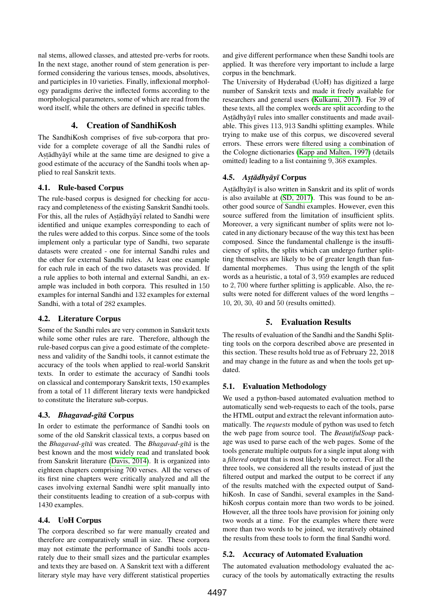nal stems, allowed classes, and attested pre-verbs for roots. In the next stage, another round of stem generation is performed considering the various tenses, moods, absolutives, and participles in 10 varieties. Finally, inflexional morphology paradigms derive the inflected forms according to the morphological parameters, some of which are read from the word itself, while the others are defined in specific tables.

## 4. Creation of SandhiKosh

<span id="page-3-0"></span>The SandhiKosh comprises of five sub-corpora that provide for a complete coverage of all the Sandhi rules of Astādhyāyī while at the same time are designed to give a good estimate of the accuracy of the Sandhi tools when applied to real Sanskrit texts.

## 4.1. Rule-based Corpus

The rule-based corpus is designed for checking for accuracy and completeness of the existing Sanskrit Sandhi tools. For this, all the rules of Astadhyayī related to Sandhi were identified and unique examples corresponding to each of the rules were added to this corpus. Since some of the tools implement only a particular type of Sandhi, two separate datasets were created - one for internal Sandhi rules and the other for external Sandhi rules. At least one example for each rule in each of the two datasets was provided. If a rule applies to both internal and external Sandhi, an example was included in both corpora. This resulted in 150 examples for internal Sandhi and 132 examples for external Sandhi, with a total of 282 examples.

# 4.2. Literature Corpus

Some of the Sandhi rules are very common in Sanskrit texts while some other rules are rare. Therefore, although the rule-based corpus can give a good estimate of the completeness and validity of the Sandhi tools, it cannot estimate the accuracy of the tools when applied to real-world Sanskrit texts. In order to estimate the accuracy of Sandhi tools on classical and contemporary Sanskrit texts, 150 examples from a total of 11 different literary texts were handpicked to constitute the literature sub-corpus.

### 4.3. *Bhagavad-gītā* Corpus

In order to estimate the performance of Sandhi tools on some of the old Sanskrit classical texts, a corpus based on the *Bhagavad-gītā* was created. The *Bhagavad-gītā* is the best known and the most widely read and translated book from Sanskrit literature [\(Davis, 2014\)](#page-6-29). It is organized into eighteen chapters comprising 700 verses. All the verses of its first nine chapters were critically analyzed and all the cases involving external Sandhi were split manually into their constituents leading to creation of a sub-corpus with 1430 examples.

# 4.4. UoH Corpus

The corpora described so far were manually created and therefore are comparatively small in size. These corpora may not estimate the performance of Sandhi tools accurately due to their small sizes and the particular examples and texts they are based on. A Sanskrit text with a different literary style may have very different statistical properties

and give different performance when these Sandhi tools are applied. It was therefore very important to include a large corpus in the benchmark.

The University of Hyderabad (UoH) has digitized a large number of Sanskrit texts and made it freely available for researchers and general users [\(Kulkarni, 2017\)](#page-6-21). For 39 of these texts, all the complex words are split according to the Astādhyāyī rules into smaller constituents and made available. This gives 113, 913 Sandhi splitting examples. While trying to make use of this corpus, we discovered several errors. These errors were filtered using a combination of the Cologne dictionaries [\(Kapp and Malten, 1997\)](#page-6-19) (details omitted) leading to a list containing 9, 368 examples.

# 4.5. *As. t . adhy ¯ ay¯ ¯ı* Corpus

Astādhyāyī is also written in Sanskrit and its split of words is also available at [\(SD, 2017\)](#page-6-30). This was found to be another good source of Sandhi examples. However, even this source suffered from the limitation of insufficient splits. Moreover, a very significant number of splits were not located in any dictionary because of the way this text has been composed. Since the fundamental challenge is the insufficiency of splits, the splits which can undergo further splitting themselves are likely to be of greater length than fundamental morphemes. Thus using the length of the split words as a heuristic, a total of 3, 959 examples are reduced to 2, 700 where further splitting is applicable. Also, the results were noted for different values of the word lengths – 10, 20, 30, 40 and 50 (results omitted).

# 5. Evaluation Results

<span id="page-3-1"></span>The results of evaluation of the Sandhi and the Sandhi Splitting tools on the corpora described above are presented in this section. These results hold true as of February 22, 2018 and may change in the future as and when the tools get updated.

# 5.1. Evaluation Methodology

We used a python-based automated evaluation method to automatically send web-requests to each of the tools, parse the HTML output and extract the relevant information automatically. The *requests* module of python was used to fetch the web page from source tool. The *BeautifulSoup* package was used to parse each of the web pages. Some of the tools generate multiple outputs for a single input along with a *filtered* output that is most likely to be correct. For all the three tools, we considered all the results instead of just the filtered output and marked the output to be correct if any of the results matched with the expected output of SandhiKosh. In case of Sandhi, several examples in the SandhiKosh corpus contain more than two words to be joined. However, all the three tools have provision for joining only two words at a time. For the examples where there were more than two words to be joined, we iteratively obtained the results from these tools to form the final Sandhi word.

### 5.2. Accuracy of Automated Evaluation

The automated evaluation methodology evaluated the accuracy of the tools by automatically extracting the results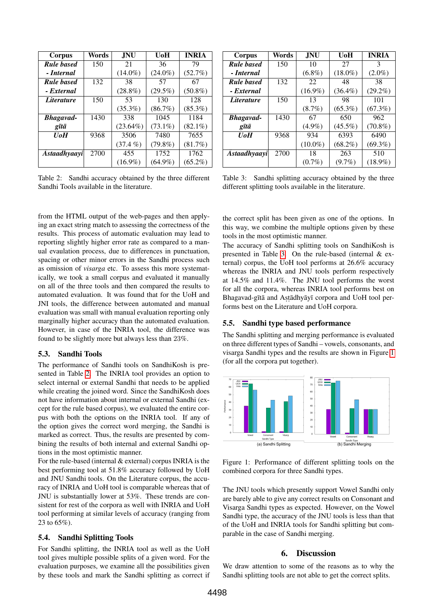| Corpus              | Words | JNU.        | UoH        | <b>INRIA</b> |
|---------------------|-------|-------------|------------|--------------|
| <b>Rule based</b>   | 150   | 21          | 36         | 79           |
| - Internal          |       | $(14.0\%)$  | $(24.0\%)$ | (52.7%)      |
| <b>Rule based</b>   | 132   | 38          | 57         | 67           |
| - External          |       | $(28.8\%)$  | $(29.5\%)$ | $(50.8\%)$   |
| <i>Literature</i>   | 150   | 53          | 130        | 128          |
|                     |       | $(35.3\%)$  | $(86.7\%)$ | $(85.3\%)$   |
| <b>Bhagavad-</b>    | 1430  | 338         | 1045       | 1184         |
| gītā                |       | $(23.64\%)$ | $(73.1\%)$ | $(82.1\%)$   |
| <b>UoH</b>          | 9368  | 3506        | 7480       | 7655         |
|                     |       | $(37.4\% )$ | $(79.8\%)$ | $(81.7\%)$   |
| <b>Astaadhyaayi</b> | 2700  | 455         | 1752       | 1762         |
|                     |       | $(16.9\%)$  | $(64.9\%)$ | $(65.2\%)$   |

<span id="page-4-1"></span>Table 2: Sandhi accuracy obtained by the three different Sandhi Tools available in the literature.

from the HTML output of the web-pages and then applying an exact string match to assessing the correctness of the results. This process of automatic evaluation may lead to reporting slightly higher error rate as compared to a manual evaulation process, due to differences in punctuation, spacing or other minor errors in the Sandhi process such as omission of *visarga* etc. To assess this more systematically, we took a small corpus and evaluated it manually on all of the three tools and then compared the results to automated evaluation. It was found that for the UoH and JNI tools, the difference between automated and manual evaluation was small with manual evaluation reporting only marginally higher accuracy than the automated evaluation. However, in case of the INRIA tool, the difference was found to be slightly more but always less than 23%.

#### 5.3. Sandhi Tools

The performance of Sandhi tools on SandhiKosh is presented in Table [2.](#page-4-1) The INRIA tool provides an option to select internal or external Sandhi that needs to be applied while creating the joined word. Since the SandhiKosh does not have information about internal or external Sandhi (except for the rule based corpus), we evaluated the entire corpus with both the options on the INRIA tool. If any of the option gives the correct word merging, the Sandhi is marked as correct. Thus, the results are presented by combining the results of both internal and external Sandhi options in the most optimistic manner.

For the rule-based (internal & external) corpus INRIA is the best performing tool at 51.8% accuracy followed by UoH and JNU Sandhi tools. On the Literature corpus, the accuracy of INRIA and UoH tool is comparable whereas that of JNU is substantially lower at 53%. These trends are consistent for rest of the corpora as well with INRIA and UoH tool performing at similar levels of accuracy (ranging from 23 to 65%).

#### 5.4. Sandhi Splitting Tools

For Sandhi splitting, the INRIA tool as well as the UoH tool gives multiple possible splits of a given word. For the evaluation purposes, we examine all the possibilities given by these tools and mark the Sandhi splitting as correct if

| Corpus            | Words | .INU       | UoH        | <b>INRIA</b>  |
|-------------------|-------|------------|------------|---------------|
| <b>Rule based</b> | 150   | 10         | 27         | $\mathcal{R}$ |
| - Internal        |       | $(6.8\%)$  | $(18.0\%)$ | $(2.0\%)$     |
| <b>Rule based</b> | 132   | 22         | 48         | 38            |
| - External        |       | $(16.9\%)$ | $(36.4\%)$ | $(29.2\%)$    |
| <i>Literature</i> | 150   | 13         | 98         | 101           |
|                   |       | $(8.7\%)$  | $(65.3\%)$ | $(67.3\%)$    |
| <b>Bhagavad-</b>  | 1430  | 67         | 650        | 962           |
| gītā              |       | $(4.9\%)$  | $(45.5\%)$ | $(70.8\%)$    |
| UoH               | 9368  | 934        | 6393       | 6490          |
|                   |       | $(10.0\%)$ | $(68.2\%)$ | $(69.3\%)$    |
| Astaadhyaayi      | 2700  | 18         | 263        | 510           |
|                   |       | $(0.7\%)$  | $(9.7\%)$  | $(18.9\%)$    |

<span id="page-4-2"></span>Table 3: Sandhi splitting accuracy obtained by the three different splitting tools available in the literature.

the correct split has been given as one of the options. In this way, we combine the multiple options given by these tools in the most optimistic manner.

The accuracy of Sandhi splitting tools on SandhiKosh is presented in Table [3.](#page-4-2) On the rule-based (internal & external) corpus, the UoH tool performs at 26.6% accuracy whereas the INRIA and JNU tools perform respectively at 14.5% and 11.4%. The JNU tool performs the worst for all the corpora, whereas INRIA tool performs best on Bhagavad-gītā and Astādhyāyī corpora and UoH tool performs best on the Literature and UoH corpora.

#### 5.5. Sandhi type based performance

The Sandhi splitting and merging performance is evaluated on three different types of Sandhi – vowels, consonants, and visarga Sandhi types and the results are shown in Figure [1](#page-4-3) (for all the corpora put together).



<span id="page-4-3"></span>Figure 1: Performance of different splitting tools on the combined corpora for three Sandhi types.

The JNU tools which presently support Vowel Sandhi only are barely able to give any correct results on Consonant and Visarga Sandhi types as expected. However, on the Vowel Sandhi type, the accuracy of the JNU tools is less than that of the UoH and INRIA tools for Sandhi splitting but comparable in the case of Sandhi merging.

#### 6. Discussion

<span id="page-4-0"></span>We draw attention to some of the reasons as to why the Sandhi splitting tools are not able to get the correct splits.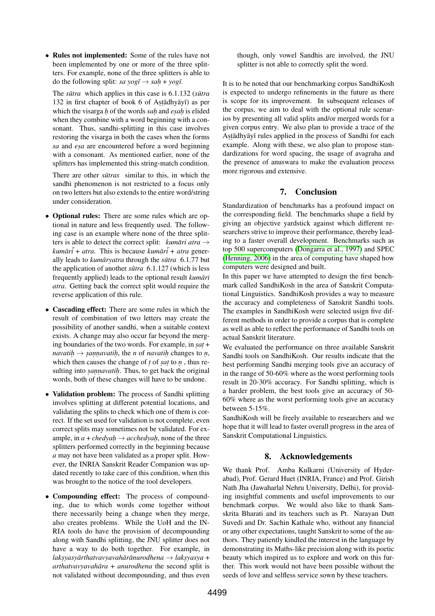• Rules not implemented: Some of the rules have not been implemented by one or more of the three splitters. For example, none of the three splitters is able to do the following split: *sa*  $yog\overline{t} \rightarrow sah + yog\overline{t}$ .

The *sūtra* which applies in this case is 6.1.132 (*sūtra* 132 in first chapter of book 6 of Astadhyayi as per which the visarga *h* of the words *sah* and *esah* is elided when they combine with a word beginning with a consonant. Thus, sandhi-splitting in this case involves restoring the visarga in both the cases when the forms *sa* and *esa* are encountered before a word beginning with a consonant. As mentioned earlier, none of the splitters has implemented this string-match condition.

There are other *sūtras* similar to this, in which the sandhi phenomenon is not restricted to a focus only on two letters but also extends to the entire word/string under consideration.

- Optional rules: There are some rules which are optional in nature and less frequently used. The following case is an example where none of the three splitters is able to detect the correct split: *kumāri atra*  $\rightarrow$ *kumar¯ ¯i* + *atra*. This is because *kumar¯ ¯i* + *atra* generally leads to *kumāryatra* through the *sūtra* 6.1.77 but the application of another  $s\bar{u}$ tra 6.1.127 (which is less frequently applied) leads to the optional result *kumāri atra*. Getting back the correct split would require the reverse application of this rule.
- Cascading effect: There are some rules in which the result of combination of two letters may create the possibility of another sandhi, when a suitable context exists. A change may also occur far beyond the merging boundaries of the two words. For example, in *sat* +  $\Delta$  *navatih*  $\rightarrow$  *sannavatih*, the *n* of *navatih* changes to *n*, which then causes the change of  $t$  of *sat* to  $n$ , thus resulting into *sannavatih*. Thus, to get back the original words, both of these changes will have to be undone.
- Validation problem: The process of Sandhi splitting involves splitting at different potential locations, and validating the splits to check which one of them is correct. If the set used for validation is not complete, even correct splits may sometimes not be validated. For example, in  $a + $\text{chedyah} \rightarrow \text{acchedyah}$ , none of the three$ splitters performed correctly in the beginning because *a* may not have been validated as a proper split. However, the INRIA Sanskrit Reader Companion was updated recently to take care of this condition, when this was brought to the notice of the tool developers.
- Compounding effect: The process of compounding, due to which words come together without there necessarily being a change when they merge, also creates problems. While the UoH and the IN-RIA tools do have the provision of decompounding along with Sandhi splitting, the JNU splitter does not have a way to do both together. For example, in  $l$ aksyasyārthatvavyavahārānurodhena → laksyasya <mark>+</mark> *arthatvavyavahāra* + *anurodhena* the second split is not validated without decompounding, and thus even

though, only vowel Sandhis are involved, the JNU splitter is not able to correctly split the word.

It is to be noted that our benchmarking corpus SandhiKosh is expected to undergo refinements in the future as there is scope for its improvement. In subsequent releases of the corpus, we aim to deal with the optional rule scenarios by presenting all valid splits and/or merged words for a given corpus entry. We also plan to provide a trace of the Astādhyāyī rules applied in the process of Sandhi for each example. Along with these, we also plan to propose standardizations for word spacing, the usage of avagraha and the presence of anuswara to make the evaluation process more rigorous and extensive.

# 7. Conclusion

<span id="page-5-0"></span>Standardization of benchmarks has a profound impact on the corresponding field. The benchmarks shape a field by giving an objective yardstick against which different researchers strive to improve their performance, thereby leading to a faster overall development. Benchmarks such as top 500 supercomputers [\(Dongarra et al., 1997\)](#page-6-31) and SPEC [\(Henning, 2006\)](#page-6-32) in the area of computing have shaped how computers were designed and built.

In this paper we have attempted to design the first benchmark called SandhiKosh in the area of Sanskrit Computational Linguistics. SandhiKosh provides a way to measure the accuracy and completeness of Sanskrit Sandhi tools. The examples in SandhiKosh were selected usign five different methods in order to provide a corpus that is complete as well as able to reflect the performance of Sandhi tools on actual Sanskrit literature.

We evaluated the performance on three available Sanskrit Sandhi tools on SandhiKosh. Our results indicate that the best performing Sandhi merging tools give an accuracy of in the range of 50-60% where as the worst performing tools result in 20-30% accuracy. For Sandhi splitting, which is a harder problem, the best tools give an accuracy of 50- 60% where as the worst performing tools give an accuracy between 5-15%.

SandhiKosh will be freely available to researchers and we hope that it will lead to faster overall progress in the area of Sanskrit Computational Linguistics.

# 8. Acknowledgements

We thank Prof. Amba Kulkarni (University of Hyderabad), Prof. Gerard Huet (INRIA, France) and Prof. Girish Nath Jha (Jawaharlal Nehru University, Delhi), for providing insightful comments and useful improvements to our benchmark corpus. We would also like to thank Samskrita Bharati and its teachers such as Pt. Narayan Dutt Suvedi and Dr. Sachin Kathale who, without any financial or any other expectations, taught Sanskrit to some of the authors. They patiently kindled the interest in the language by demonstrating its Maths-like precision along with its poetic beauty which inspired us to explore and work on this further. This work would not have been possible without the seeds of love and selfless service sown by these teachers.